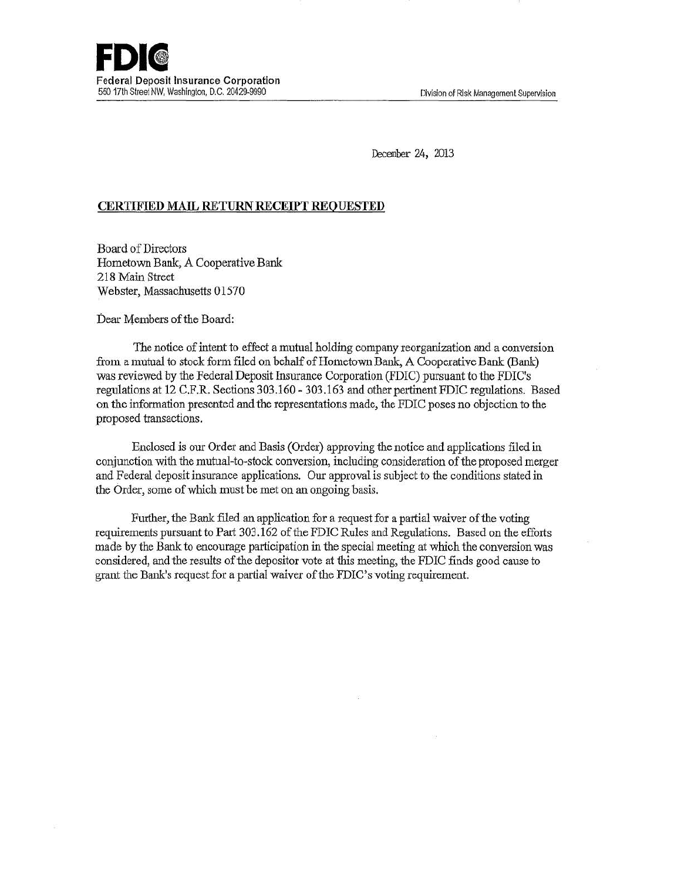December 24, 2013

## **CERTIFIED MAIL RETURN RECEIPT REQUESTED**

Board of Directors Hometown Bank, A Cooperative Bank 218 Main Street Webster, Massachusetts 01570

Dear Members of the Board:

The notice of intent to effect a mutual holding company reorganization and a conversion from a mutual to stock form filed on behalf of Hometown Bank, A Cooperative Bank (Bank) was reviewed by the Federal Deposit Insurance Corporation (FDIC) pursuant to the FDIC's regulations at 12 C.F.R. Sections 303.160-303.163 and other pertinent FDIC regulations. Based on the infonnation presented and the representations made, the FDIC poses no objection to the proposed transactions.

Enclosed is our Order and Basis (Order) approving the notice and applications filed in conjunction with the mutual-to-stock conversion, including consideration of the proposed merger and Federal deposit insurance applications. Our approval is subject to the conditions stated in the Order, some of which must be met on an ongoing basis.

Further, the Bank filed an application for a request for a partial waiver of the voting requirements pursuant to Part 303.162 of the FDIC Rules and Regulations. Based on the efforts made by the Bank to encourage participation in the special meeting at which the conversion was considered, and the results of the depositor vote at this meeting, the FDIC finds good cause to grant the Bank's request for a partial waiver of the FDIC's voting requirement.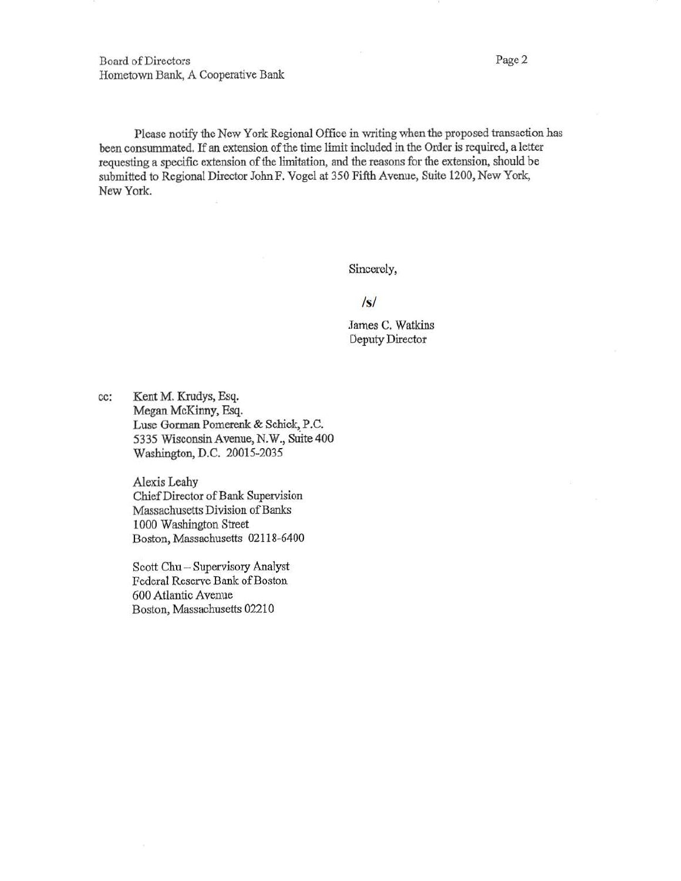Board of Directors Page 2 Hometown Bank, A Cooperative Bank

Please notify the New York Regional Office in writing when the proposed transaction has been consummated. If an extension of the time limit included in the Order is required, a letter requesting a specific extension of the limitation, and the reasons for the extension, should be submitted to Regional Director John F. Vogel at 350 Fifth Avenue, Suite 1200, New York, New York.

Sincerely,

## *Is/*

James C. Watkins Deputy Director

cc: Kent M. Krudys, Esq. Megan McKinny, Esq. Luse Gorman Pomerenk & Schick, P.C. 5335 Wisconsin Avenue, N.W., Suite 400 Washington, D.C. 20015-2035

> Alexis Leahy Chief Director of Bank Supervision Massachusetts Division of Banks 1000 Washington Street Boston, Massachusetts 02118-6400

Scott Chu - Supervisory Analyst Federal Reserve Bank of Boston 600 Atlantic A venue Boston, Massachusetts 02210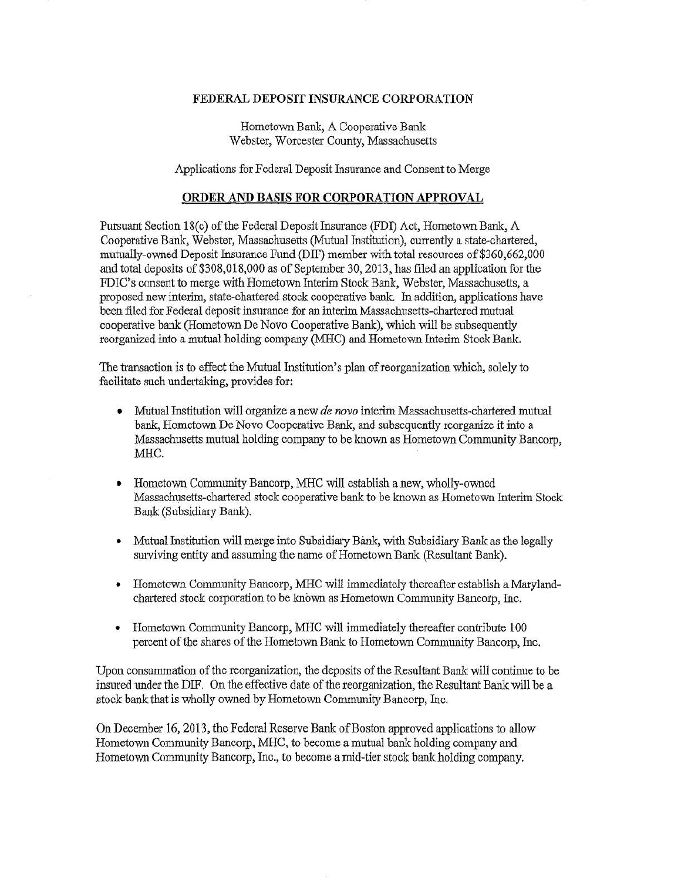## FEDERAL DEPOSIT INSURANCE CORPORATION

Hometown Bank, A Cooperative Bank Webster, Worcester County, Massachusetts

Applications for Federal Deposit Insurance and Consent to Merge

## ORDER AND BASIS FOR CORPORATION APPROVAL

Pursuant Section 18( c) of the Federal *Deposit* Insurance (FDI) Act, Hometown Bank, A Cooperative Bank, Webster, Massachusetts (Mutual Institution), currently a state-chartered, mutually-owned Deposit Insurance Fund (DIF) member with total resources of \$360,662,000 and total deposits of \$308,018,000 as of September 30, 2013, has filed an application for the FDIC's consent to merge with Hometown Interim Stock Bank, Webster, Massachusetts, a proposed new interim, state-chartered stock cooperative bank. In addition, applications have been filed for Federal deposit insurance for an interim Massachusetts-chartered mutual cooperative bank (Hometown De Novo Cooperative Bank), which will be subsequently reorganized into a mutual holding company (MHC) and Hometown Interim Stock Bank

The transaction is to effect the Mutual Institution's plan of reorganization which, solely to facilitate such undertaking, provides for:

- Mutual Institution will organize a new *de novo* interim Massachusetts-chartered mutual bank, Hometown De Novo Cooperative Bank, and subsequently reorganize it into a Massachusetts mutual holding company to be known as Hometown Community Bancorp, MHC.
- Hometown Community Bancorp, MHC will establish a new, wholly-owned Massachusetts-chartered stock cooperative bank to be known as Hometown Interim Stock Bank (Subsidiary Bank).
- Mutual Institution will merge into Subsidiary Bank, with Subsidiary Bank as the legally surviving entity and assuming the name of Hometown Bank (Resultant Bank).
- Hometown Community Bancorp, MHC will immediately thereafter establish a Marylandchartered stock cotporation to be known as Hometown Community Bancorp, Inc.
- Hometown Community Bancorp, MHC will immediately thereafter contribute 100 percent of the shares of the Hometown Bank to Hometown Community Bancorp, Inc.

Upon consummation of the reorganization, the deposits of the Resultant Bank will continue to be insured under the DIF. On the effective date of the reorganization, the Resultant Bank will be a stock bank that is wholly owned by Hometown Community Bancorp, Inc.

On December 16, 2013, the Federal Reserve Bank of Boston approved applications to allow Hometown Community Bancorp, MHC, to become a mutual bank holding company and Hometown Community Bancorp, Inc., to become a mid-tier stock bank holding company.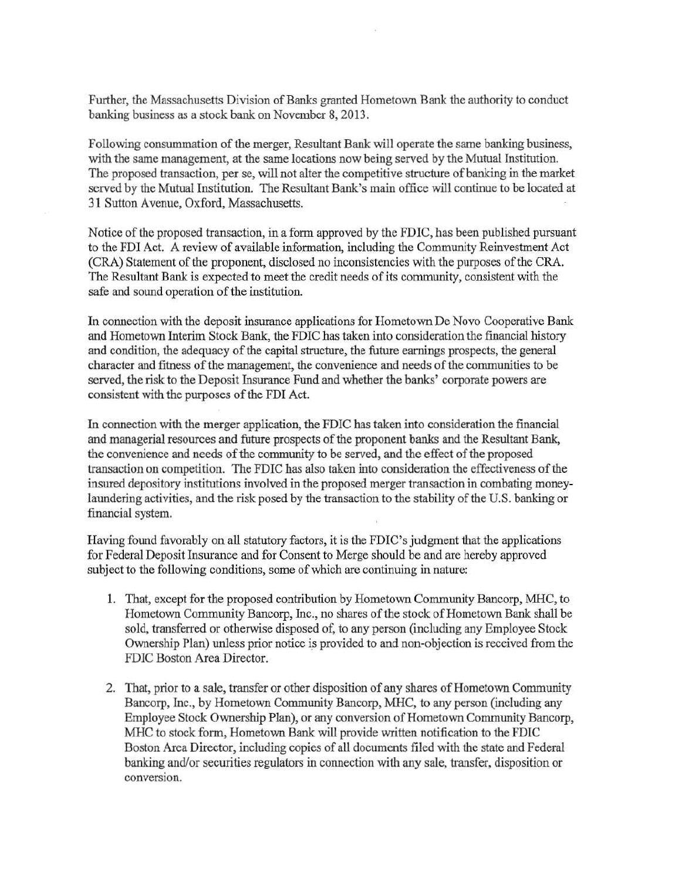Further, the Massachusetts Division of Banks granted Hometown Bank the authority to conduct banking business as a stock bank on November 8, 2013.

Following consummation of the merger, Resultant Bank will operate the same banking business, with the same management, at the same locations now being served by the Mutual Institution. The proposed transaction, per se, will not alter the competitive structure of banking in the market served by the Mutual Institution. The Resultant Bank's main office will continue to be located at 31 Sutton A venue, Oxford, Massachusetts.

Notice of the proposed transaction, in a form approved by the FDIC, has been published pursuant to the FDI Act. A review of available information, including the Community Reinvestment Act (CRA) Statement of the proponent, disclosed no inconsistencies with the purposes of the CRA. The Resultant Bank is expected to meet the credit needs of its community, consistent with the safe and sound operation of the institution.

In connection with the deposit insurance applications for Hometown De Novo Cooperative Bank and Hometown Interim Stock Bank, the FDIC has taken into consideration the financial history and condition, the adequacy of the capital structure, the future earnings prospects, the general character and fitness of the management, the convenience and needs ofthe communities to be served, the risk to the Deposit Insurance Fund and whether the banks' corporate powers are consistent with the purposes of the FDI Act.

In connection with the merger application, the FDIC has taken into consideration the financial and managerial resources and future prospects of the proponent banks and the Resultant Bank, the convenience and needs of the community to be served, and the effect of the proposed transaction on competition. The FDIC has also taken into consideration the effectiveness of the insured depository institutions involved in the proposed merger transaction in combating moneylaundering activities, and the risk posed by the transaction to the stability of the U.S. banking or financial system.

Having found favorably on all statutory factors, it is the FDIC's judgment that the applications for Federal Deposit Insurance and for Consent to Merge should be and are hereby approved subject to the following conditions, some of which are continuing in nature:

- 1. That, except for the proposed contribution by Hometown Community Bancorp, MHC, to Hometown Community Bancorp, Inc., no shares of the stock of Hometown Bank shall be sold, transferred or otherwise disposed of, to any person (including any Employee Stock Ownership Plan) unless prior notice is provided to and non-objection is received from the FDIC Boston Area Director.
- 2. That, prior to a sale, transfer or other disposition of any shares of Hometown Community Bancorp, Inc., by Hometown Community Bancorp, MHC, to any person (including any Employee Stock Ownership Plan), or any conversion of Hometown Community Bancorp, MHC to stock form, Hometown Bank will provide written notification to the FDIC Boston Area Director, including copies of all documents filed with the state and Federal banking and/or securities regulators in connection with any sale, transfer, disposition or conversion.